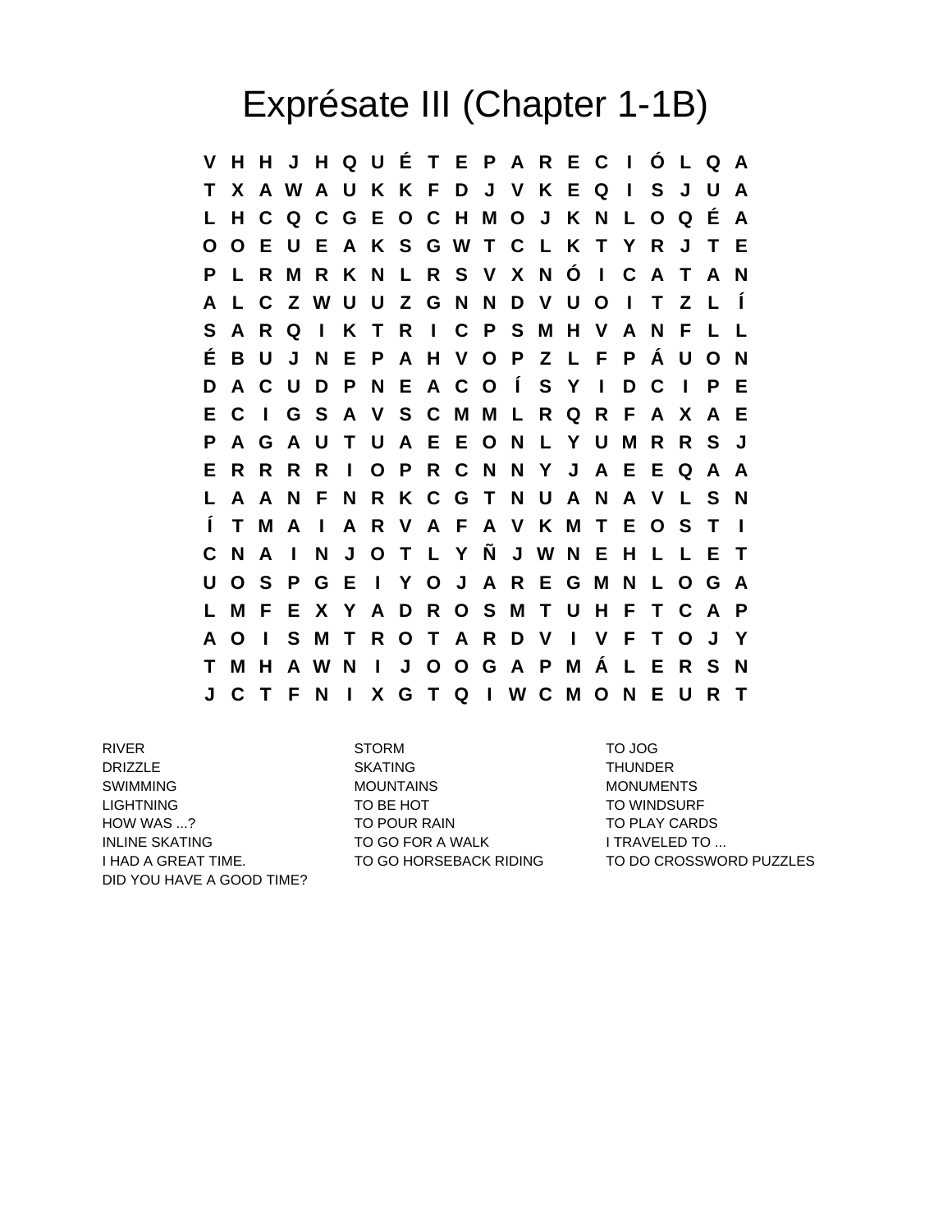## Exprésate III (Chapter 1-1B)

**V H H J H Q U É T E P A R E C I Ó L Q A T X A W A U K K F D J V K E Q I S J U A L H C Q C G E O C H M O J K N L O Q É A O O E U E A K S G W T C L K T Y R J T E P L R M R K N L R S V X N Ó I C A T A N A L C Z W U U Z G N N D V U O I T Z L Í S A R Q I K T R I C P S M H V A N F L L É B U J N E P A H V O P Z L F P Á U O N D A C U D P N E A C O Í S Y I D C I P E E C I G S A V S C M M L R Q R F A X A E P A G A U T U A E E O N L Y U M R R S J E R R R R I O P R C N N Y J A E E Q A A L A A N F N R K C G T N U A N A V L S N Í T M A I A R V A F A V K M T E O S T I C N A I N J O T L Y Ñ J W N E H L L E T U O S P G E I Y O J A R E G M N L O G A L M F E X Y A D R O S M T U H F T C A P A O I S M T R O T A R D V I V F T O J Y T M H A W N I J O O G A P M Á L E R S N J C T F N I X G T Q I W C M O N E U R T**

**DRIZZLE SKATING SKATING** THUNDER SWIMMING MOUNTAINS MOUNTAINS MONUMENTS LIGHTNING TO TO BE HOT TO MINDSURF HOW WAS ...? TO POUR RAIN TO POUR RAIN TO PLAY CARDS INLINE SKATING TO GO FOR A WALK TO GO FOR A WALK DID YOU HAVE A GOOD TIME?

RIVER STORM TO JOG

I HAD A GREAT TIME. TO GO HORSEBACK RIDING TO DO CROSSWORD PUZZLES